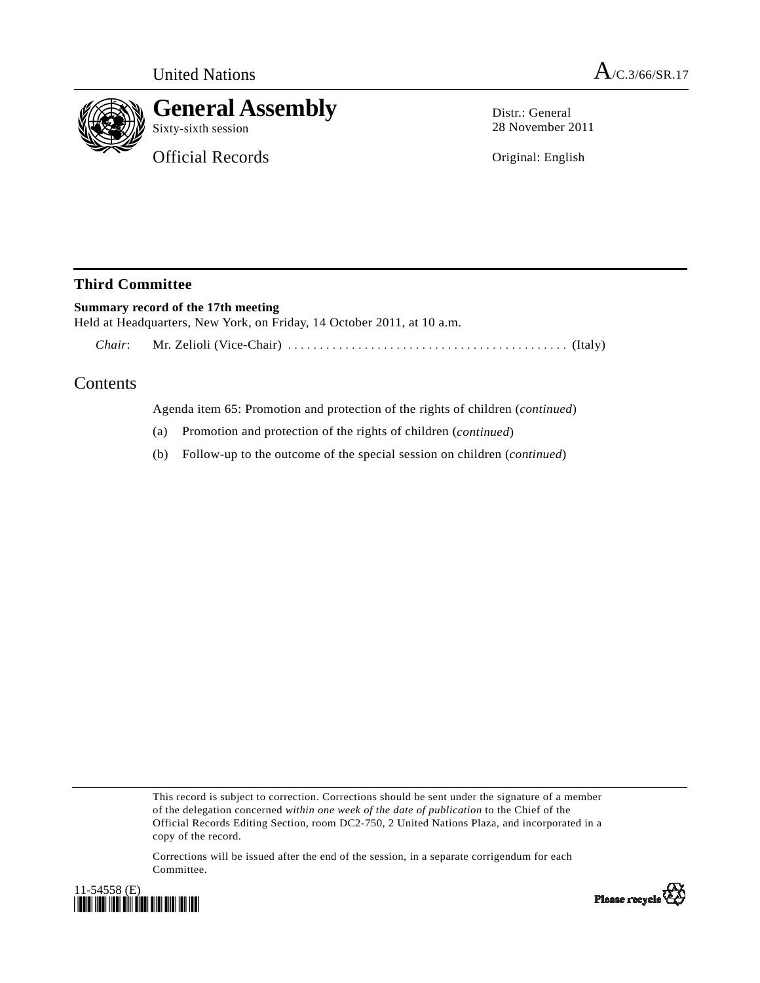

## **General Assembly**

Sixty-sixth session

Official Records

Distr.: General 28 November 2011

Original: English

## **Third Committee**

## **Summary record of the 17th meeting**

Held at Headquarters, New York, on Friday, 14 October 2011, at 10 a.m.  *Chair*: Mr. Zelioli (Vice-Chair) ............................................ (Italy)

## Contents

Agenda item 65: Promotion and protection of the rights of children (*continued*)

- (a) Promotion and protection of the rights of children (*continued*)
- (b) Follow-up to the outcome of the special session on children (*continued*)

This record is subject to correction. Corrections should be sent under the signature of a member of the delegation concerned *within one week of the date of publication* to the Chief of the Official Records Editing Section, room DC2-750, 2 United Nations Plaza, and incorporated in a copy of the record.

Corrections will be issued after the end of the session, in a separate corrigendum for each Committee.



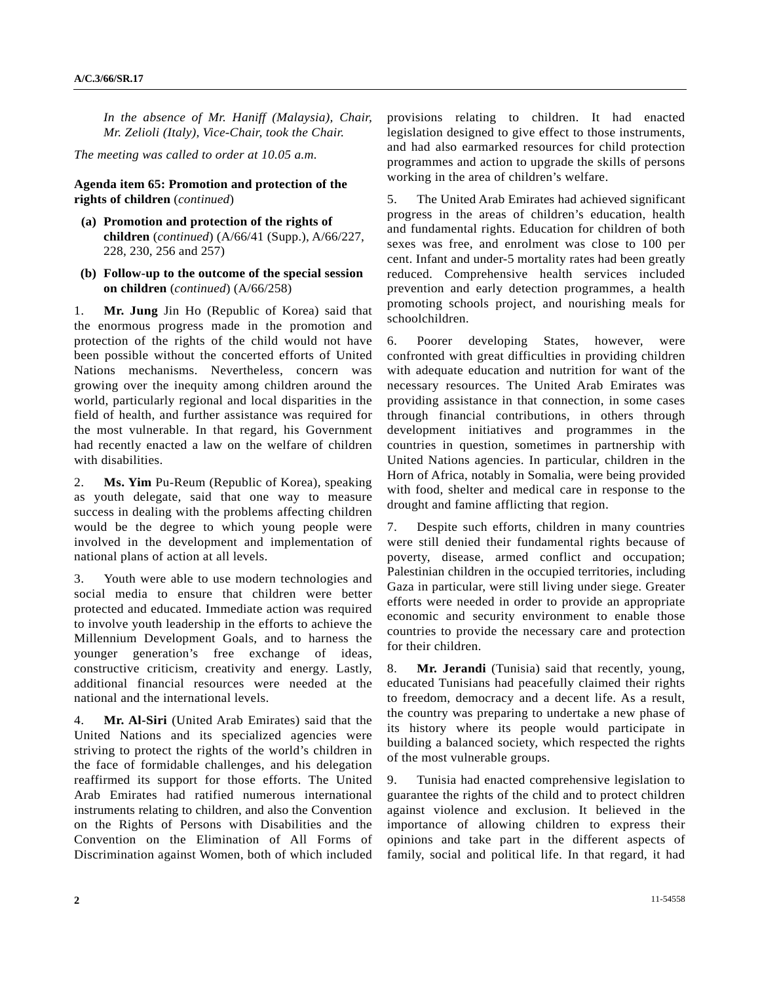*In the absence of Mr. Haniff (Malaysia), Chair, Mr. Zelioli (Italy), Vice-Chair, took the Chair.* 

*The meeting was called to order at 10.05 a.m.* 

**Agenda item 65: Promotion and protection of the rights of children** (*continued*)

- **(a) Promotion and protection of the rights of children** (*continued*) (A/66/41 (Supp.), A/66/227, 228, 230, 256 and 257)
- **(b) Follow-up to the outcome of the special session on children** (*continued*) (A/66/258)

1. **Mr. Jung** Jin Ho (Republic of Korea) said that the enormous progress made in the promotion and protection of the rights of the child would not have been possible without the concerted efforts of United Nations mechanisms. Nevertheless, concern was growing over the inequity among children around the world, particularly regional and local disparities in the field of health, and further assistance was required for the most vulnerable. In that regard, his Government had recently enacted a law on the welfare of children with disabilities.

2. **Ms. Yim** Pu-Reum (Republic of Korea), speaking as youth delegate, said that one way to measure success in dealing with the problems affecting children would be the degree to which young people were involved in the development and implementation of national plans of action at all levels.

3. Youth were able to use modern technologies and social media to ensure that children were better protected and educated. Immediate action was required to involve youth leadership in the efforts to achieve the Millennium Development Goals, and to harness the younger generation's free exchange of ideas, constructive criticism, creativity and energy. Lastly, additional financial resources were needed at the national and the international levels.

4. **Mr. Al-Siri** (United Arab Emirates) said that the United Nations and its specialized agencies were striving to protect the rights of the world's children in the face of formidable challenges, and his delegation reaffirmed its support for those efforts. The United Arab Emirates had ratified numerous international instruments relating to children, and also the Convention on the Rights of Persons with Disabilities and the Convention on the Elimination of All Forms of Discrimination against Women, both of which included provisions relating to children. It had enacted legislation designed to give effect to those instruments, and had also earmarked resources for child protection programmes and action to upgrade the skills of persons working in the area of children's welfare.

5. The United Arab Emirates had achieved significant progress in the areas of children's education, health and fundamental rights. Education for children of both sexes was free, and enrolment was close to 100 per cent. Infant and under-5 mortality rates had been greatly reduced. Comprehensive health services included prevention and early detection programmes, a health promoting schools project, and nourishing meals for schoolchildren.

6. Poorer developing States, however, were confronted with great difficulties in providing children with adequate education and nutrition for want of the necessary resources. The United Arab Emirates was providing assistance in that connection, in some cases through financial contributions, in others through development initiatives and programmes in the countries in question, sometimes in partnership with United Nations agencies. In particular, children in the Horn of Africa, notably in Somalia, were being provided with food, shelter and medical care in response to the drought and famine afflicting that region.

7. Despite such efforts, children in many countries were still denied their fundamental rights because of poverty, disease, armed conflict and occupation; Palestinian children in the occupied territories, including Gaza in particular, were still living under siege. Greater efforts were needed in order to provide an appropriate economic and security environment to enable those countries to provide the necessary care and protection for their children.

8. **Mr. Jerandi** (Tunisia) said that recently, young, educated Tunisians had peacefully claimed their rights to freedom, democracy and a decent life. As a result, the country was preparing to undertake a new phase of its history where its people would participate in building a balanced society, which respected the rights of the most vulnerable groups.

9. Tunisia had enacted comprehensive legislation to guarantee the rights of the child and to protect children against violence and exclusion. It believed in the importance of allowing children to express their opinions and take part in the different aspects of family, social and political life. In that regard, it had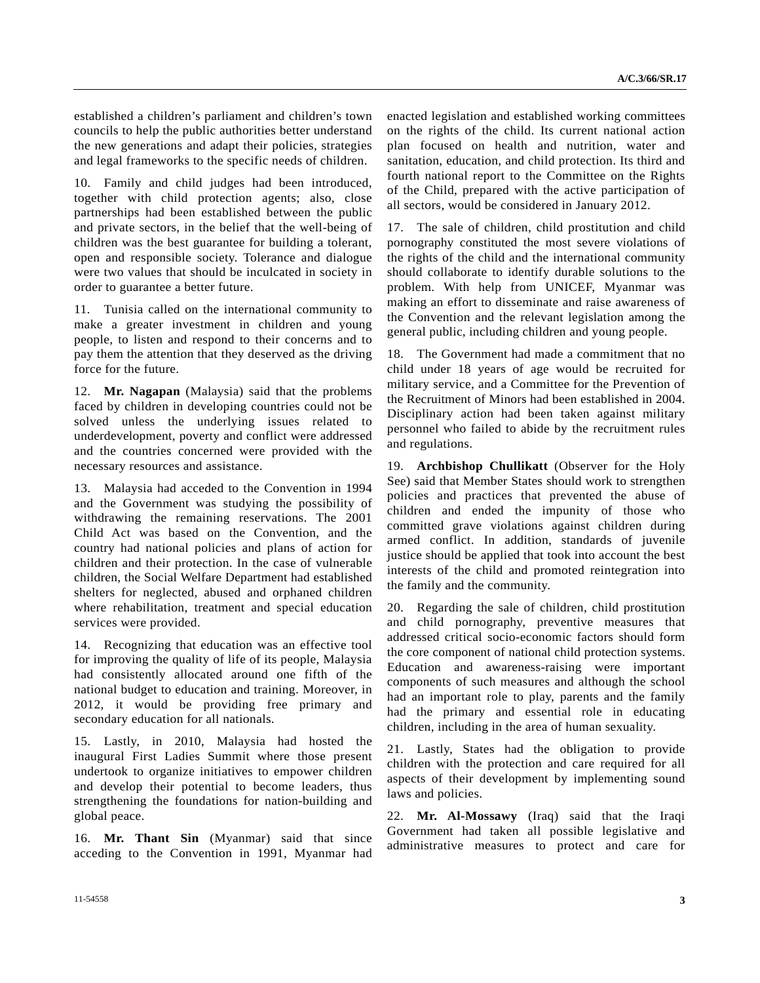established a children's parliament and children's town councils to help the public authorities better understand the new generations and adapt their policies, strategies and legal frameworks to the specific needs of children.

10. Family and child judges had been introduced, together with child protection agents; also, close partnerships had been established between the public and private sectors, in the belief that the well-being of children was the best guarantee for building a tolerant, open and responsible society. Tolerance and dialogue were two values that should be inculcated in society in order to guarantee a better future.

11. Tunisia called on the international community to make a greater investment in children and young people, to listen and respond to their concerns and to pay them the attention that they deserved as the driving force for the future.

12. **Mr. Nagapan** (Malaysia) said that the problems faced by children in developing countries could not be solved unless the underlying issues related to underdevelopment, poverty and conflict were addressed and the countries concerned were provided with the necessary resources and assistance.

13. Malaysia had acceded to the Convention in 1994 and the Government was studying the possibility of withdrawing the remaining reservations. The 2001 Child Act was based on the Convention, and the country had national policies and plans of action for children and their protection. In the case of vulnerable children, the Social Welfare Department had established shelters for neglected, abused and orphaned children where rehabilitation, treatment and special education services were provided.

14. Recognizing that education was an effective tool for improving the quality of life of its people, Malaysia had consistently allocated around one fifth of the national budget to education and training. Moreover, in 2012, it would be providing free primary and secondary education for all nationals.

15. Lastly, in 2010, Malaysia had hosted the inaugural First Ladies Summit where those present undertook to organize initiatives to empower children and develop their potential to become leaders, thus strengthening the foundations for nation-building and global peace.

16. **Mr. Thant Sin** (Myanmar) said that since acceding to the Convention in 1991, Myanmar had enacted legislation and established working committees on the rights of the child. Its current national action plan focused on health and nutrition, water and sanitation, education, and child protection. Its third and fourth national report to the Committee on the Rights of the Child, prepared with the active participation of all sectors, would be considered in January 2012.

17. The sale of children, child prostitution and child pornography constituted the most severe violations of the rights of the child and the international community should collaborate to identify durable solutions to the problem. With help from UNICEF, Myanmar was making an effort to disseminate and raise awareness of the Convention and the relevant legislation among the general public, including children and young people.

18. The Government had made a commitment that no child under 18 years of age would be recruited for military service, and a Committee for the Prevention of the Recruitment of Minors had been established in 2004. Disciplinary action had been taken against military personnel who failed to abide by the recruitment rules and regulations.

19. **Archbishop Chullikatt** (Observer for the Holy See) said that Member States should work to strengthen policies and practices that prevented the abuse of children and ended the impunity of those who committed grave violations against children during armed conflict. In addition, standards of juvenile justice should be applied that took into account the best interests of the child and promoted reintegration into the family and the community.

20. Regarding the sale of children, child prostitution and child pornography, preventive measures that addressed critical socio-economic factors should form the core component of national child protection systems. Education and awareness-raising were important components of such measures and although the school had an important role to play, parents and the family had the primary and essential role in educating children, including in the area of human sexuality.

21. Lastly, States had the obligation to provide children with the protection and care required for all aspects of their development by implementing sound laws and policies.

22. **Mr. Al-Mossawy** (Iraq) said that the Iraqi Government had taken all possible legislative and administrative measures to protect and care for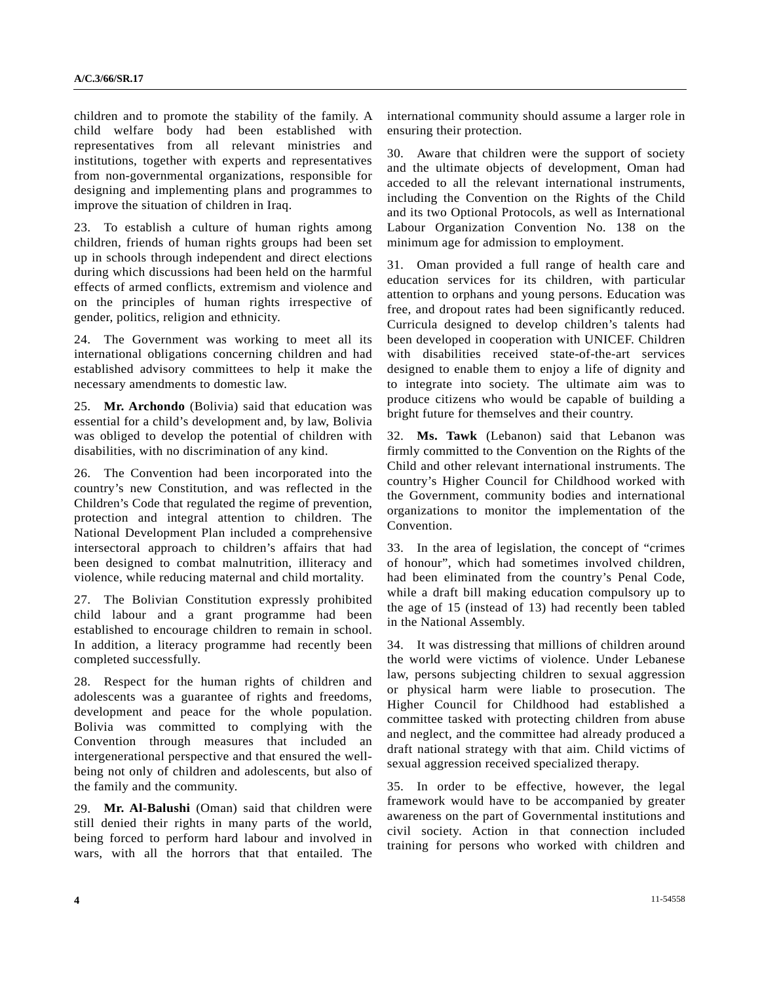children and to promote the stability of the family. A child welfare body had been established with representatives from all relevant ministries and institutions, together with experts and representatives from non-governmental organizations, responsible for designing and implementing plans and programmes to improve the situation of children in Iraq.

23. To establish a culture of human rights among children, friends of human rights groups had been set up in schools through independent and direct elections during which discussions had been held on the harmful effects of armed conflicts, extremism and violence and on the principles of human rights irrespective of gender, politics, religion and ethnicity.

24. The Government was working to meet all its international obligations concerning children and had established advisory committees to help it make the necessary amendments to domestic law.

25. **Mr. Archondo** (Bolivia) said that education was essential for a child's development and, by law, Bolivia was obliged to develop the potential of children with disabilities, with no discrimination of any kind.

26. The Convention had been incorporated into the country's new Constitution, and was reflected in the Children's Code that regulated the regime of prevention, protection and integral attention to children. The National Development Plan included a comprehensive intersectoral approach to children's affairs that had been designed to combat malnutrition, illiteracy and violence, while reducing maternal and child mortality.

27. The Bolivian Constitution expressly prohibited child labour and a grant programme had been established to encourage children to remain in school. In addition, a literacy programme had recently been completed successfully.

28. Respect for the human rights of children and adolescents was a guarantee of rights and freedoms, development and peace for the whole population. Bolivia was committed to complying with the Convention through measures that included an intergenerational perspective and that ensured the wellbeing not only of children and adolescents, but also of the family and the community.

29. **Mr. Al-Balushi** (Oman) said that children were still denied their rights in many parts of the world, being forced to perform hard labour and involved in wars, with all the horrors that that entailed. The

international community should assume a larger role in ensuring their protection.

30. Aware that children were the support of society and the ultimate objects of development, Oman had acceded to all the relevant international instruments, including the Convention on the Rights of the Child and its two Optional Protocols, as well as International Labour Organization Convention No. 138 on the minimum age for admission to employment.

31. Oman provided a full range of health care and education services for its children, with particular attention to orphans and young persons. Education was free, and dropout rates had been significantly reduced. Curricula designed to develop children's talents had been developed in cooperation with UNICEF. Children with disabilities received state-of-the-art services designed to enable them to enjoy a life of dignity and to integrate into society. The ultimate aim was to produce citizens who would be capable of building a bright future for themselves and their country.

32. **Ms. Tawk** (Lebanon) said that Lebanon was firmly committed to the Convention on the Rights of the Child and other relevant international instruments. The country's Higher Council for Childhood worked with the Government, community bodies and international organizations to monitor the implementation of the Convention.

33. In the area of legislation, the concept of "crimes of honour", which had sometimes involved children, had been eliminated from the country's Penal Code, while a draft bill making education compulsory up to the age of 15 (instead of 13) had recently been tabled in the National Assembly.

34. It was distressing that millions of children around the world were victims of violence. Under Lebanese law, persons subjecting children to sexual aggression or physical harm were liable to prosecution. The Higher Council for Childhood had established a committee tasked with protecting children from abuse and neglect, and the committee had already produced a draft national strategy with that aim. Child victims of sexual aggression received specialized therapy.

35. In order to be effective, however, the legal framework would have to be accompanied by greater awareness on the part of Governmental institutions and civil society. Action in that connection included training for persons who worked with children and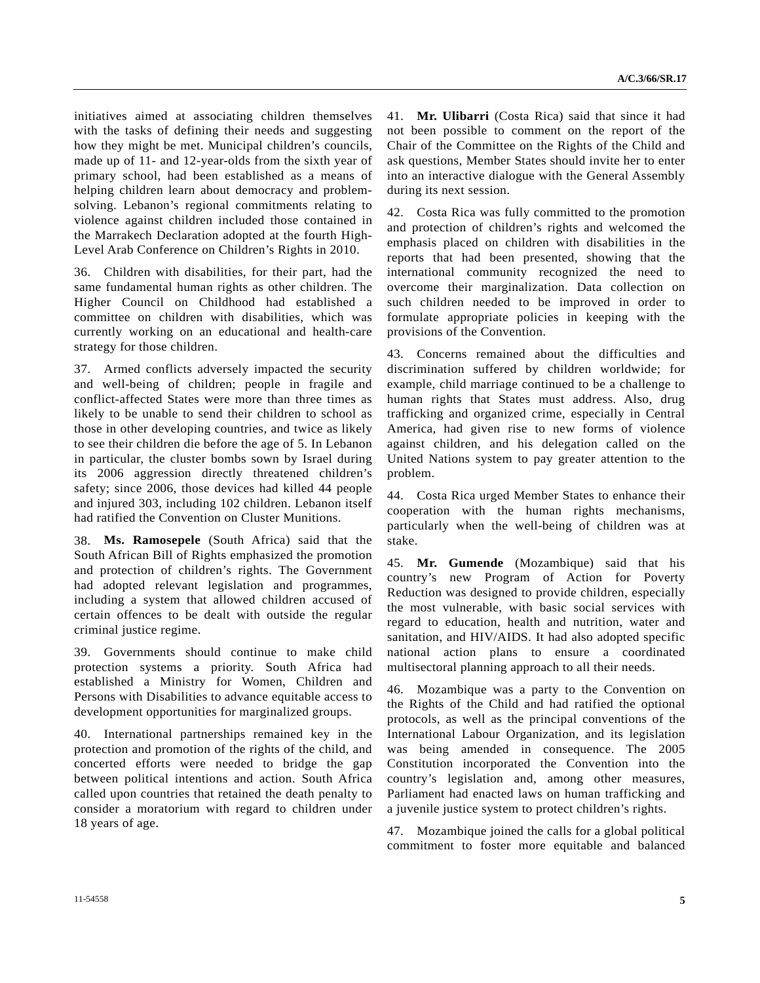initiatives aimed at associating children themselves with the tasks of defining their needs and suggesting how they might be met. Municipal children's councils, made up of 11- and 12-year-olds from the sixth year of primary school, had been established as a means of helping children learn about democracy and problemsolving. Lebanon's regional commitments relating to violence against children included those contained in the Marrakech Declaration adopted at the fourth High-Level Arab Conference on Children's Rights in 2010.

36. Children with disabilities, for their part, had the same fundamental human rights as other children. The Higher Council on Childhood had established a committee on children with disabilities, which was currently working on an educational and health-care strategy for those children.

37. Armed conflicts adversely impacted the security and well-being of children; people in fragile and conflict-affected States were more than three times as likely to be unable to send their children to school as those in other developing countries, and twice as likely to see their children die before the age of 5. In Lebanon in particular, the cluster bombs sown by Israel during its 2006 aggression directly threatened children's safety; since 2006, those devices had killed 44 people and injured 303, including 102 children. Lebanon itself had ratified the Convention on Cluster Munitions.

38. **Ms. Ramosepele** (South Africa) said that the South African Bill of Rights emphasized the promotion and protection of children's rights. The Government had adopted relevant legislation and programmes, including a system that allowed children accused of certain offences to be dealt with outside the regular criminal justice regime.

39. Governments should continue to make child protection systems a priority. South Africa had established a Ministry for Women, Children and Persons with Disabilities to advance equitable access to development opportunities for marginalized groups.

40. International partnerships remained key in the protection and promotion of the rights of the child, and concerted efforts were needed to bridge the gap between political intentions and action. South Africa called upon countries that retained the death penalty to consider a moratorium with regard to children under 18 years of age.

41. **Mr. Ulibarri** (Costa Rica) said that since it had not been possible to comment on the report of the Chair of the Committee on the Rights of the Child and ask questions, Member States should invite her to enter into an interactive dialogue with the General Assembly during its next session.

42. Costa Rica was fully committed to the promotion and protection of children's rights and welcomed the emphasis placed on children with disabilities in the reports that had been presented, showing that the international community recognized the need to overcome their marginalization. Data collection on such children needed to be improved in order to formulate appropriate policies in keeping with the provisions of the Convention.

43. Concerns remained about the difficulties and discrimination suffered by children worldwide; for example, child marriage continued to be a challenge to human rights that States must address. Also, drug trafficking and organized crime, especially in Central America, had given rise to new forms of violence against children, and his delegation called on the United Nations system to pay greater attention to the problem.

44. Costa Rica urged Member States to enhance their cooperation with the human rights mechanisms, particularly when the well-being of children was at stake.

45. **Mr. Gumende** (Mozambique) said that his country's new Program of Action for Poverty Reduction was designed to provide children, especially the most vulnerable, with basic social services with regard to education, health and nutrition, water and sanitation, and HIV/AIDS. It had also adopted specific national action plans to ensure a coordinated multisectoral planning approach to all their needs.

46. Mozambique was a party to the Convention on the Rights of the Child and had ratified the optional protocols, as well as the principal conventions of the International Labour Organization, and its legislation was being amended in consequence. The 2005 Constitution incorporated the Convention into the country's legislation and, among other measures, Parliament had enacted laws on human trafficking and a juvenile justice system to protect children's rights.

47. Mozambique joined the calls for a global political commitment to foster more equitable and balanced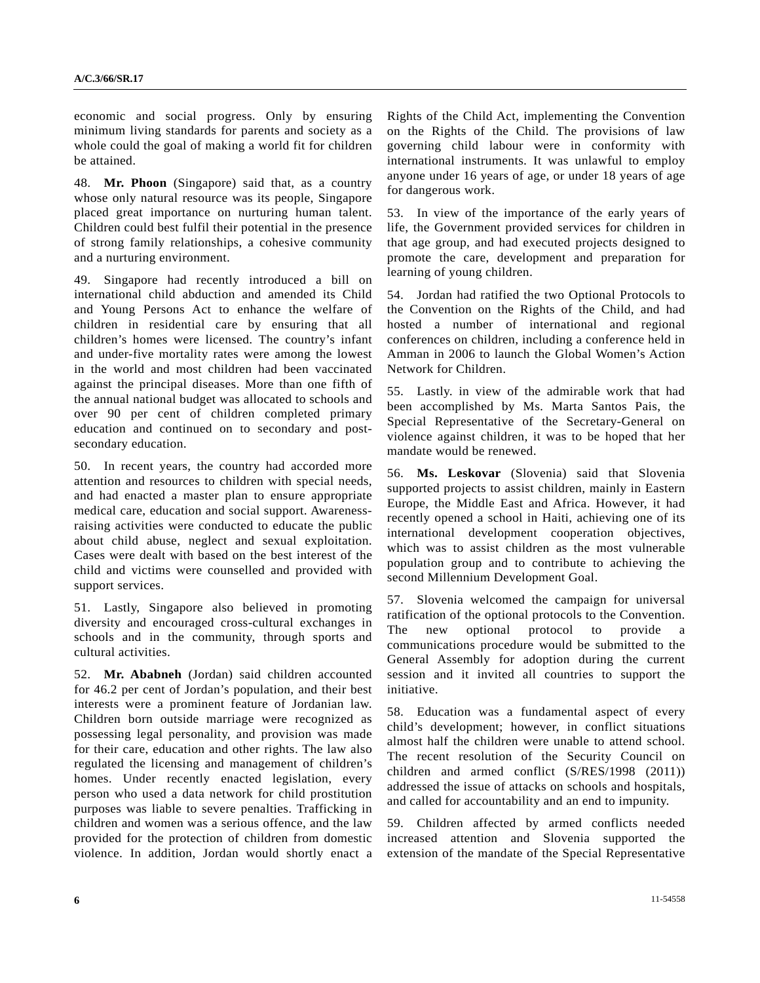economic and social progress. Only by ensuring minimum living standards for parents and society as a whole could the goal of making a world fit for children be attained.

48. **Mr. Phoon** (Singapore) said that, as a country whose only natural resource was its people, Singapore placed great importance on nurturing human talent. Children could best fulfil their potential in the presence of strong family relationships, a cohesive community and a nurturing environment.

49. Singapore had recently introduced a bill on international child abduction and amended its Child and Young Persons Act to enhance the welfare of children in residential care by ensuring that all children's homes were licensed. The country's infant and under-five mortality rates were among the lowest in the world and most children had been vaccinated against the principal diseases. More than one fifth of the annual national budget was allocated to schools and over 90 per cent of children completed primary education and continued on to secondary and postsecondary education.

50. In recent years, the country had accorded more attention and resources to children with special needs, and had enacted a master plan to ensure appropriate medical care, education and social support. Awarenessraising activities were conducted to educate the public about child abuse, neglect and sexual exploitation. Cases were dealt with based on the best interest of the child and victims were counselled and provided with support services.

51. Lastly, Singapore also believed in promoting diversity and encouraged cross-cultural exchanges in schools and in the community, through sports and cultural activities.

52. **Mr. Ababneh** (Jordan) said children accounted for 46.2 per cent of Jordan's population, and their best interests were a prominent feature of Jordanian law. Children born outside marriage were recognized as possessing legal personality, and provision was made for their care, education and other rights. The law also regulated the licensing and management of children's homes. Under recently enacted legislation, every person who used a data network for child prostitution purposes was liable to severe penalties. Trafficking in children and women was a serious offence, and the law provided for the protection of children from domestic violence. In addition, Jordan would shortly enact a

Rights of the Child Act, implementing the Convention on the Rights of the Child. The provisions of law governing child labour were in conformity with international instruments. It was unlawful to employ anyone under 16 years of age, or under 18 years of age for dangerous work.

53. In view of the importance of the early years of life, the Government provided services for children in that age group, and had executed projects designed to promote the care, development and preparation for learning of young children.

54. Jordan had ratified the two Optional Protocols to the Convention on the Rights of the Child, and had hosted a number of international and regional conferences on children, including a conference held in Amman in 2006 to launch the Global Women's Action Network for Children.

55. Lastly. in view of the admirable work that had been accomplished by Ms. Marta Santos Pais, the Special Representative of the Secretary-General on violence against children, it was to be hoped that her mandate would be renewed.

56. **Ms. Leskovar** (Slovenia) said that Slovenia supported projects to assist children, mainly in Eastern Europe, the Middle East and Africa. However, it had recently opened a school in Haiti, achieving one of its international development cooperation objectives, which was to assist children as the most vulnerable population group and to contribute to achieving the second Millennium Development Goal.

57. Slovenia welcomed the campaign for universal ratification of the optional protocols to the Convention. The new optional protocol to provide a communications procedure would be submitted to the General Assembly for adoption during the current session and it invited all countries to support the initiative.

58. Education was a fundamental aspect of every child's development; however, in conflict situations almost half the children were unable to attend school. The recent resolution of the Security Council on children and armed conflict (S/RES/1998 (2011)) addressed the issue of attacks on schools and hospitals, and called for accountability and an end to impunity.

59. Children affected by armed conflicts needed increased attention and Slovenia supported the extension of the mandate of the Special Representative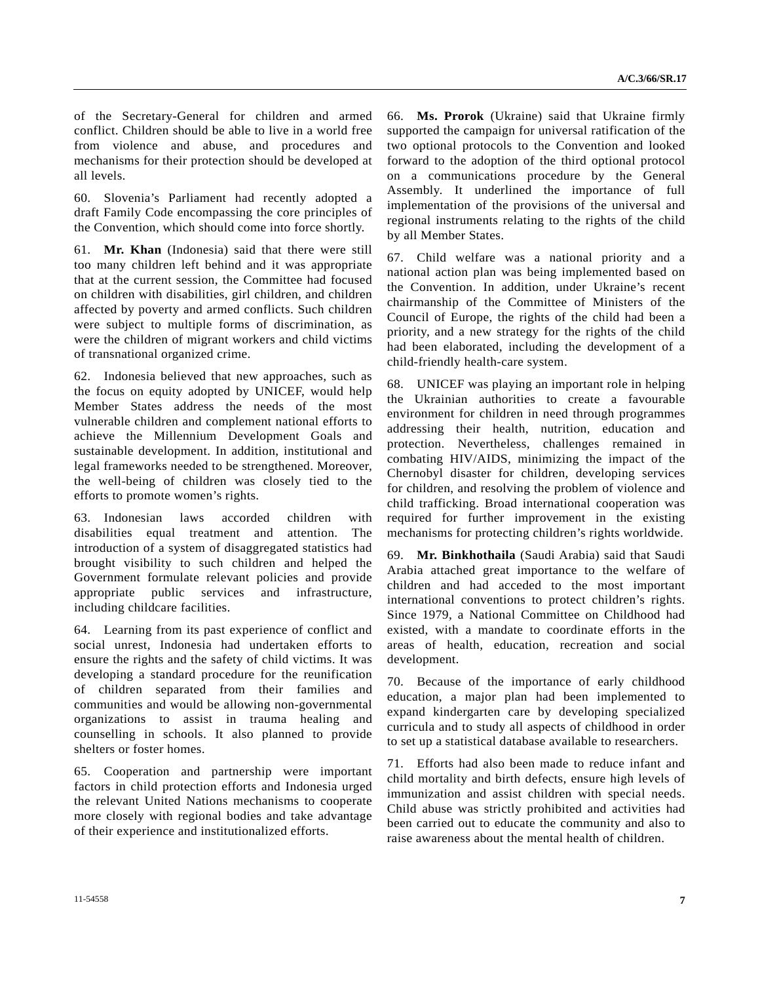of the Secretary-General for children and armed conflict. Children should be able to live in a world free from violence and abuse, and procedures and mechanisms for their protection should be developed at all levels.

60. Slovenia's Parliament had recently adopted a draft Family Code encompassing the core principles of the Convention, which should come into force shortly.

61. **Mr. Khan** (Indonesia) said that there were still too many children left behind and it was appropriate that at the current session, the Committee had focused on children with disabilities, girl children, and children affected by poverty and armed conflicts. Such children were subject to multiple forms of discrimination, as were the children of migrant workers and child victims of transnational organized crime.

62. Indonesia believed that new approaches, such as the focus on equity adopted by UNICEF, would help Member States address the needs of the most vulnerable children and complement national efforts to achieve the Millennium Development Goals and sustainable development. In addition, institutional and legal frameworks needed to be strengthened. Moreover, the well-being of children was closely tied to the efforts to promote women's rights.

63. Indonesian laws accorded children with disabilities equal treatment and attention. The introduction of a system of disaggregated statistics had brought visibility to such children and helped the Government formulate relevant policies and provide appropriate public services and infrastructure, including childcare facilities.

64. Learning from its past experience of conflict and social unrest, Indonesia had undertaken efforts to ensure the rights and the safety of child victims. It was developing a standard procedure for the reunification of children separated from their families and communities and would be allowing non-governmental organizations to assist in trauma healing and counselling in schools. It also planned to provide shelters or foster homes.

65. Cooperation and partnership were important factors in child protection efforts and Indonesia urged the relevant United Nations mechanisms to cooperate more closely with regional bodies and take advantage of their experience and institutionalized efforts.

66. **Ms. Prorok** (Ukraine) said that Ukraine firmly supported the campaign for universal ratification of the two optional protocols to the Convention and looked forward to the adoption of the third optional protocol on a communications procedure by the General Assembly. It underlined the importance of full implementation of the provisions of the universal and regional instruments relating to the rights of the child by all Member States.

67. Child welfare was a national priority and a national action plan was being implemented based on the Convention. In addition, under Ukraine's recent chairmanship of the Committee of Ministers of the Council of Europe, the rights of the child had been a priority, and a new strategy for the rights of the child had been elaborated, including the development of a child-friendly health-care system.

68. UNICEF was playing an important role in helping the Ukrainian authorities to create a favourable environment for children in need through programmes addressing their health, nutrition, education and protection. Nevertheless, challenges remained in combating HIV/AIDS, minimizing the impact of the Chernobyl disaster for children, developing services for children, and resolving the problem of violence and child trafficking. Broad international cooperation was required for further improvement in the existing mechanisms for protecting children's rights worldwide.

69. **Mr. Binkhothaila** (Saudi Arabia) said that Saudi Arabia attached great importance to the welfare of children and had acceded to the most important international conventions to protect children's rights. Since 1979, a National Committee on Childhood had existed, with a mandate to coordinate efforts in the areas of health, education, recreation and social development.

70. Because of the importance of early childhood education, a major plan had been implemented to expand kindergarten care by developing specialized curricula and to study all aspects of childhood in order to set up a statistical database available to researchers.

71. Efforts had also been made to reduce infant and child mortality and birth defects, ensure high levels of immunization and assist children with special needs. Child abuse was strictly prohibited and activities had been carried out to educate the community and also to raise awareness about the mental health of children.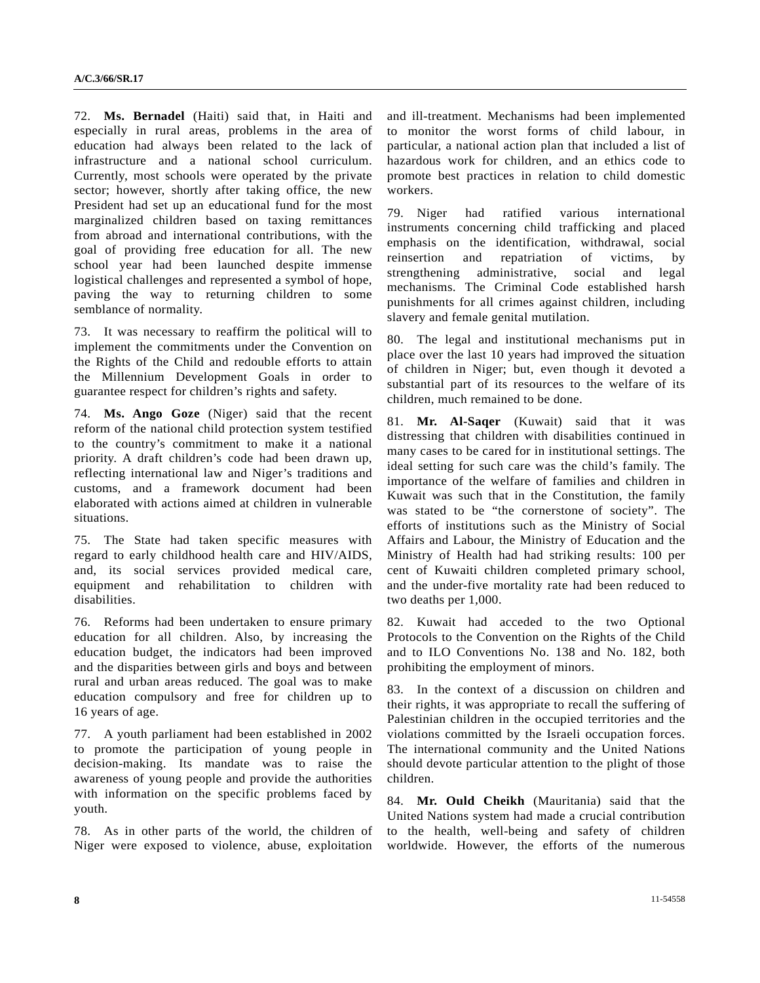72. **Ms. Bernadel** (Haiti) said that, in Haiti and especially in rural areas, problems in the area of education had always been related to the lack of infrastructure and a national school curriculum. Currently, most schools were operated by the private sector; however, shortly after taking office, the new President had set up an educational fund for the most marginalized children based on taxing remittances from abroad and international contributions, with the goal of providing free education for all. The new school year had been launched despite immense logistical challenges and represented a symbol of hope, paving the way to returning children to some semblance of normality.

73. It was necessary to reaffirm the political will to implement the commitments under the Convention on the Rights of the Child and redouble efforts to attain the Millennium Development Goals in order to guarantee respect for children's rights and safety.

74. **Ms. Ango Goze** (Niger) said that the recent reform of the national child protection system testified to the country's commitment to make it a national priority. A draft children's code had been drawn up, reflecting international law and Niger's traditions and customs, and a framework document had been elaborated with actions aimed at children in vulnerable situations.

75. The State had taken specific measures with regard to early childhood health care and HIV/AIDS, and, its social services provided medical care, equipment and rehabilitation to children with disabilities.

76. Reforms had been undertaken to ensure primary education for all children. Also, by increasing the education budget, the indicators had been improved and the disparities between girls and boys and between rural and urban areas reduced. The goal was to make education compulsory and free for children up to 16 years of age.

77. A youth parliament had been established in 2002 to promote the participation of young people in decision-making. Its mandate was to raise the awareness of young people and provide the authorities with information on the specific problems faced by youth.

78. As in other parts of the world, the children of Niger were exposed to violence, abuse, exploitation

and ill-treatment. Mechanisms had been implemented to monitor the worst forms of child labour, in particular, a national action plan that included a list of hazardous work for children, and an ethics code to promote best practices in relation to child domestic workers.

79. Niger had ratified various international instruments concerning child trafficking and placed emphasis on the identification, withdrawal, social reinsertion and repatriation of victims, by strengthening administrative, social and legal mechanisms. The Criminal Code established harsh punishments for all crimes against children, including slavery and female genital mutilation.

80. The legal and institutional mechanisms put in place over the last 10 years had improved the situation of children in Niger; but, even though it devoted a substantial part of its resources to the welfare of its children, much remained to be done.

81. **Mr. Al-Saqer** (Kuwait) said that it was distressing that children with disabilities continued in many cases to be cared for in institutional settings. The ideal setting for such care was the child's family. The importance of the welfare of families and children in Kuwait was such that in the Constitution, the family was stated to be "the cornerstone of society". The efforts of institutions such as the Ministry of Social Affairs and Labour, the Ministry of Education and the Ministry of Health had had striking results: 100 per cent of Kuwaiti children completed primary school, and the under-five mortality rate had been reduced to two deaths per 1,000.

82. Kuwait had acceded to the two Optional Protocols to the Convention on the Rights of the Child and to ILO Conventions No. 138 and No. 182, both prohibiting the employment of minors.

83. In the context of a discussion on children and their rights, it was appropriate to recall the suffering of Palestinian children in the occupied territories and the violations committed by the Israeli occupation forces. The international community and the United Nations should devote particular attention to the plight of those children.

84. **Mr. Ould Cheikh** (Mauritania) said that the United Nations system had made a crucial contribution to the health, well-being and safety of children worldwide. However, the efforts of the numerous